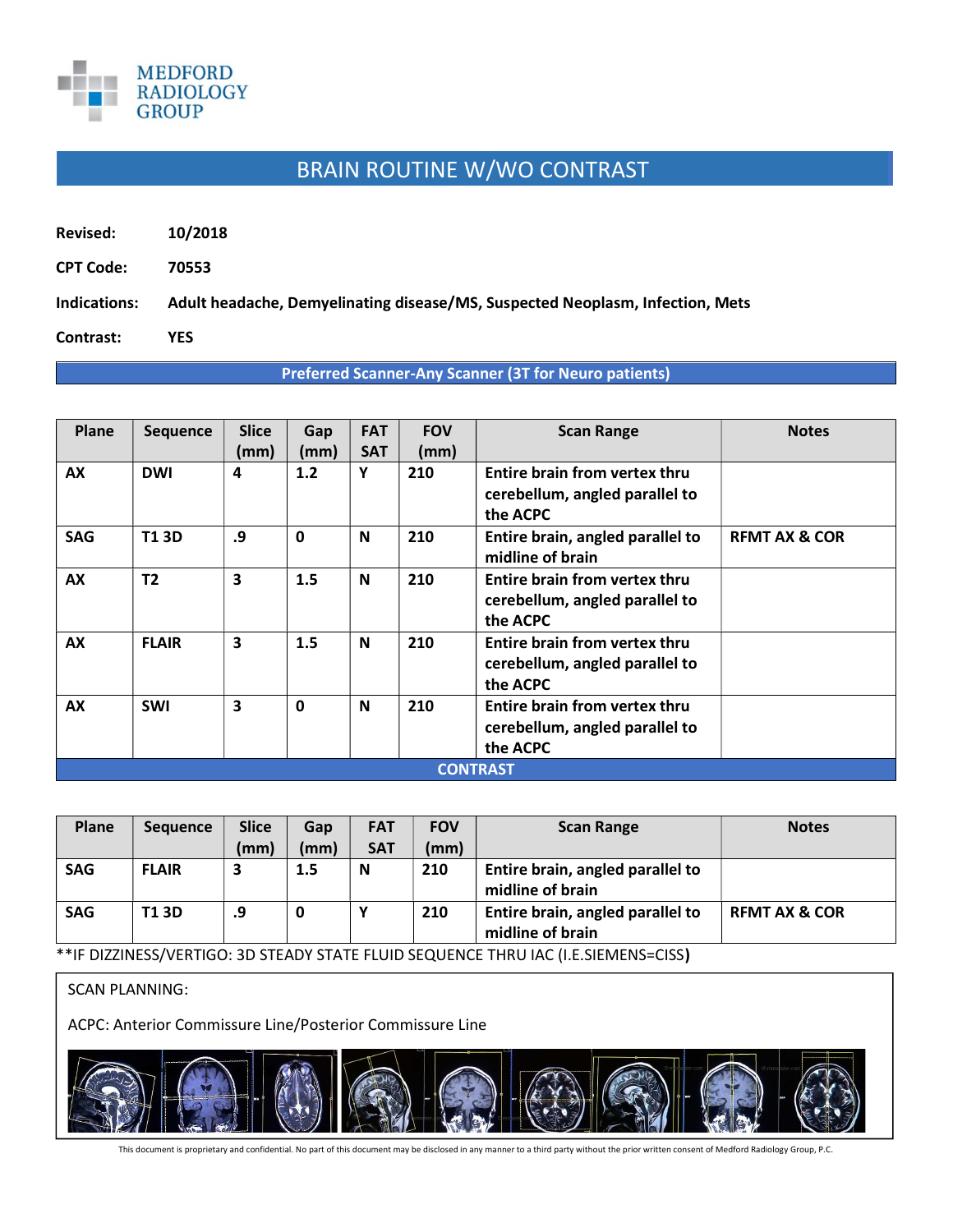

## BRAIN ROUTINE W/WO CONTRAST

Revised: 10/2018

CPT Code: 70553

Indications: Adult headache, Demyelinating disease/MS, Suspected Neoplasm, Infection, Mets

Contrast: YES

## Preferred Scanner-Any Scanner (3T for Neuro patients)

| Plane           | <b>Sequence</b> | <b>Slice</b> | Gap          | <b>FAT</b>  | <b>FOV</b> | <b>Scan Range</b>                                                                  | <b>Notes</b>             |  |
|-----------------|-----------------|--------------|--------------|-------------|------------|------------------------------------------------------------------------------------|--------------------------|--|
|                 |                 | (mm)         | (mm)         | <b>SAT</b>  | (mm)       |                                                                                    |                          |  |
| AX              | <b>DWI</b>      | 4            | 1.2          | Y           | 210        | Entire brain from vertex thru<br>cerebellum, angled parallel to<br>the ACPC        |                          |  |
| <b>SAG</b>      | <b>T13D</b>     | .9           | $\mathbf 0$  | N           | 210        | Entire brain, angled parallel to<br>midline of brain                               | <b>REMT AX &amp; COR</b> |  |
| AX              | T <sub>2</sub>  | 3            | 1.5          | N           | 210        | Entire brain from vertex thru<br>cerebellum, angled parallel to<br>the ACPC        |                          |  |
| AX              | <b>FLAIR</b>    | 3            | 1.5          | N           | 210        | <b>Entire brain from vertex thru</b><br>cerebellum, angled parallel to<br>the ACPC |                          |  |
| AX              | <b>SWI</b>      | 3            | $\mathbf{0}$ | $\mathbf N$ | 210        | Entire brain from vertex thru<br>cerebellum, angled parallel to<br>the ACPC        |                          |  |
| <b>CONTRAST</b> |                 |              |              |             |            |                                                                                    |                          |  |

| Plane      | <b>Sequence</b> | <b>Slice</b> | Gap  | <b>FAT</b> | <b>FOV</b> | <b>Scan Range</b>                                    | <b>Notes</b>             |
|------------|-----------------|--------------|------|------------|------------|------------------------------------------------------|--------------------------|
|            |                 | (mm)         | (mm) | <b>SAT</b> | (mm)       |                                                      |                          |
| <b>SAG</b> | <b>FLAIR</b>    | 3            | 1.5  | N          | 210        | Entire brain, angled parallel to<br>midline of brain |                          |
| <b>SAG</b> | T1 3D           | .9           |      |            | 210        | Entire brain, angled parallel to<br>midline of brain | <b>REMT AX &amp; COR</b> |

\*\*IF DIZZINESS/VERTIGO: 3D STEADY STATE FLUID SEQUENCE THRU IAC (I.E.SIEMENS=CISS)

SCAN PLANNING:

ACPC: Anterior Commissure Line/Posterior Commissure Line



This document is proprietary and confidential. No part of this document may be disclosed in any manner to a third party without the prior written consent of Medford Radiology Group, P.C.